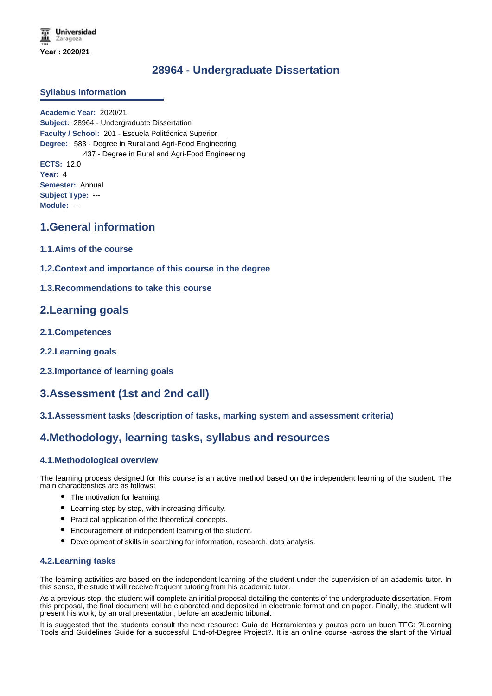**Universidad** Zaragoza **Year : 2020/21**

# **28964 - Undergraduate Dissertation**

### **Syllabus Information**

**Academic Year:** 2020/21 **Subject:** 28964 - Undergraduate Dissertation **Faculty / School:** 201 - Escuela Politécnica Superior **Degree:** 583 - Degree in Rural and Agri-Food Engineering 437 - Degree in Rural and Agri-Food Engineering **ECTS:** 12.0 **Year:** 4 **Semester:** Annual **Subject Type:** --- **Module:** ---

## **1.General information**

- **1.1.Aims of the course**
- **1.2.Context and importance of this course in the degree**
- **1.3.Recommendations to take this course**

## **2.Learning goals**

- **2.1.Competences**
- **2.2.Learning goals**
- **2.3.Importance of learning goals**

# **3.Assessment (1st and 2nd call)**

## **3.1.Assessment tasks (description of tasks, marking system and assessment criteria)**

## **4.Methodology, learning tasks, syllabus and resources**

## **4.1.Methodological overview**

The learning process designed for this course is an active method based on the independent learning of the student. The main characteristics are as follows:

- The motivation for learning.
- Learning step by step, with increasing difficulty.
- Practical application of the theoretical concepts.
- Encouragement of independent learning of the student.
- Development of skills in searching for information, research, data analysis.

#### **4.2.Learning tasks**

The learning activities are based on the independent learning of the student under the supervision of an academic tutor. In this sense, the student will receive frequent tutoring from his academic tutor.

As a previous step, the student will complete an initial proposal detailing the contents of the undergraduate dissertation. From this proposal, the final document will be elaborated and deposited in electronic format and on paper. Finally, the student will present his work, by an oral presentation, before an academic tribunal.

It is suggested that the students consult the next resource: Guía de Herramientas y pautas para un buen TFG: ?Learning Tools and Guidelines Guide for a successful End-of-Degree Project?. It is an online course -across the slant of the Virtual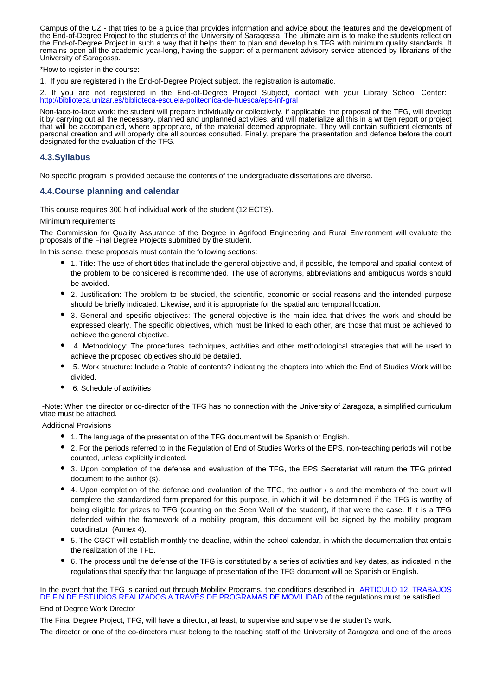Campus of the UZ - that tries to be a guide that provides information and advice about the features and the development of the End-of-Degree Project to the students of the University of Saragossa. The ultimate aim is to make the students reflect on the End-of-Degree Project in such a way that it helps them to plan and develop his TFG with minimum quality standards. It remains open all the academic year-long, having the support of a permanent advisory service attended by librarians of the University of Saragossa.

\*How to register in the course:

1. If you are registered in the End-of-Degree Project subject, the registration is automatic.

2. If you are not registered in the End-of-Degree Project Subject, contact with your Library School Center: http://biblioteca.unizar.es/biblioteca-escuela-politecnica-de-huesca/eps-inf-gral

Non-face-to-face work: the student will prepare individually or collectively, if applicable, the proposal of the TFG, will develop it by carrying out all the necessary, planned and unplanned activities, and will materialize all this in a written report or project that will be accompanied, where appropriate, of the material deemed appropriate. They will contain sufficient elements of personal creation and will properly cite all sources consulted. Finally, prepare the presentation and defence before the court designated for the evaluation of the TFG.

### **4.3.Syllabus**

No specific program is provided because the contents of the undergraduate dissertations are diverse.

### **4.4.Course planning and calendar**

This course requires 300 h of individual work of the student (12 ECTS).

Minimum requirements

The Commission for Quality Assurance of the Degree in Agrifood Engineering and Rural Environment will evaluate the proposals of the Final Degree Projects submitted by the student.

In this sense, these proposals must contain the following sections:

- 1. Title: The use of short titles that include the general objective and, if possible, the temporal and spatial context of the problem to be considered is recommended. The use of acronyms, abbreviations and ambiguous words should be avoided.
- 2. Justification: The problem to be studied, the scientific, economic or social reasons and the intended purpose should be briefly indicated. Likewise, and it is appropriate for the spatial and temporal location.
- 3. General and specific objectives: The general objective is the main idea that drives the work and should be expressed clearly. The specific objectives, which must be linked to each other, are those that must be achieved to achieve the general objective.
- 4. Methodology: The procedures, techniques, activities and other methodological strategies that will be used to achieve the proposed objectives should be detailed.
- 5. Work structure: Include a ?table of contents? indicating the chapters into which the End of Studies Work will be divided.
- 6. Schedule of activities

 -Note: When the director or co-director of the TFG has no connection with the University of Zaragoza, a simplified curriculum vitae must be attached.

Additional Provisions

- 1. The language of the presentation of the TFG document will be Spanish or English.
- 2. For the periods referred to in the Regulation of End of Studies Works of the EPS, non-teaching periods will not be counted, unless explicitly indicated.
- 3. Upon completion of the defense and evaluation of the TFG, the EPS Secretariat will return the TFG printed document to the author (s).
- 4. Upon completion of the defense and evaluation of the TFG, the author / s and the members of the court will complete the standardized form prepared for this purpose, in which it will be determined if the TFG is worthy of being eligible for prizes to TFG (counting on the Seen Well of the student), if that were the case. If it is a TFG defended within the framework of a mobility program, this document will be signed by the mobility program coordinator. (Annex 4).
- 5. The CGCT will establish monthly the deadline, within the school calendar, in which the documentation that entails the realization of the TFE.
- 6. The process until the defense of the TFG is constituted by a series of activities and key dates, as indicated in the regulations that specify that the language of presentation of the TFG document will be Spanish or English.

#### In the event that the TFG is carried out through Mobility Programs, the conditions described in ARTÍCULO 12. TRABAJOS DE FIN DE ESTUDIOS REALIZADOS A TRAVÉS DE PROGRAMAS DE MOVILIDAD of the regulations must be satisfied.

#### End of Degree Work Director

The Final Degree Project, TFG, will have a director, at least, to supervise and supervise the student's work.

The director or one of the co-directors must belong to the teaching staff of the University of Zaragoza and one of the areas